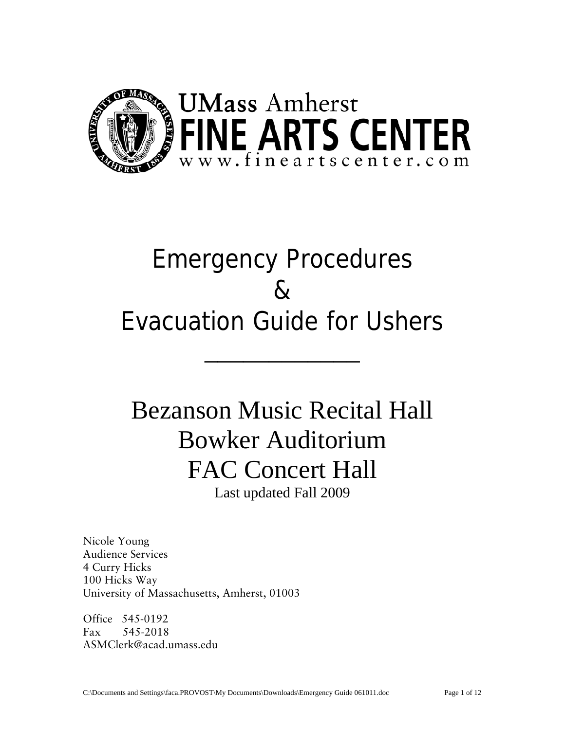

# Emergency Procedures  $\&$ Evacuation Guide for Ushers

\_\_\_\_\_\_\_\_\_\_\_\_

# Bezanson Music Recital Hall Bowker Auditorium FAC Concert Hall Last updated Fall 2009

Nicole Young Audience Services 4 Curry Hicks 100 Hicks Way University of Massachusetts, Amherst, 01003

Office 545-0192 Fax 545-2018 ASMClerk@acad.umass.edu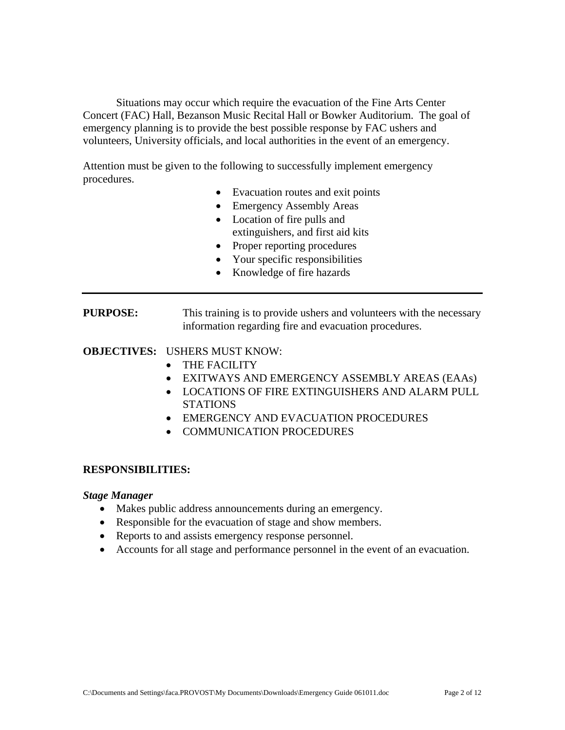Situations may occur which require the evacuation of the Fine Arts Center Concert (FAC) Hall, Bezanson Music Recital Hall or Bowker Auditorium. The goal of emergency planning is to provide the best possible response by FAC ushers and volunteers, University officials, and local authorities in the event of an emergency.

Attention must be given to the following to successfully implement emergency procedures.

- Evacuation routes and exit points
- Emergency Assembly Areas
- Location of fire pulls and extinguishers, and first aid kits
- Proper reporting procedures
- Your specific responsibilities
- Knowledge of fire hazards

**PURPOSE:** This training is to provide ushers and volunteers with the necessary information regarding fire and evacuation procedures.

**OBJECTIVES:** USHERS MUST KNOW:

- THE FACILITY
- EXITWAYS AND EMERGENCY ASSEMBLY AREAS (EAAs)
- LOCATIONS OF FIRE EXTINGUISHERS AND ALARM PULL **STATIONS**
- EMERGENCY AND EVACUATION PROCEDURES
- COMMUNICATION PROCEDURES

#### **RESPONSIBILITIES:**

#### *Stage Manager*

- Makes public address announcements during an emergency.
- Responsible for the evacuation of stage and show members.
- Reports to and assists emergency response personnel.
- Accounts for all stage and performance personnel in the event of an evacuation.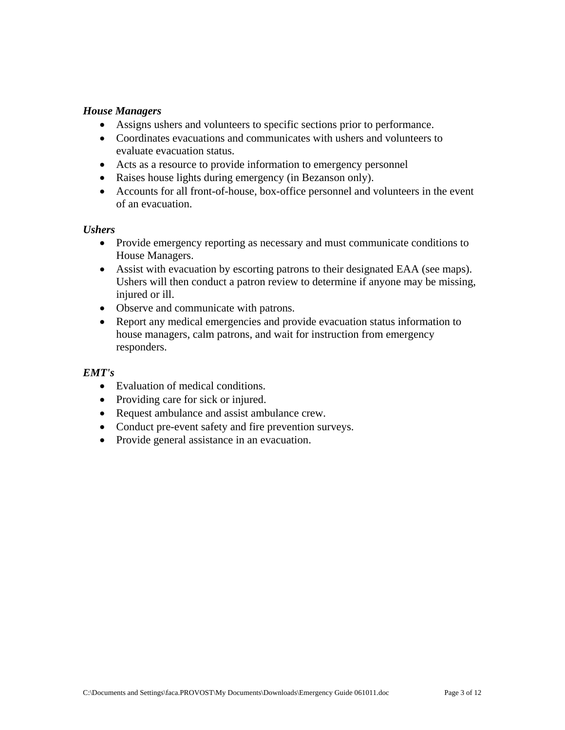#### *House Managers*

- Assigns ushers and volunteers to specific sections prior to performance.
- Coordinates evacuations and communicates with ushers and volunteers to evaluate evacuation status.
- Acts as a resource to provide information to emergency personnel
- Raises house lights during emergency (in Bezanson only).
- Accounts for all front-of-house, box-office personnel and volunteers in the event of an evacuation.

#### *Ushers*

- Provide emergency reporting as necessary and must communicate conditions to House Managers.
- Assist with evacuation by escorting patrons to their designated EAA (see maps). Ushers will then conduct a patron review to determine if anyone may be missing, injured or ill.
- Observe and communicate with patrons.
- Report any medical emergencies and provide evacuation status information to house managers, calm patrons, and wait for instruction from emergency responders.

#### *EMT's*

- Evaluation of medical conditions.
- Providing care for sick or injured.
- Request ambulance and assist ambulance crew.
- Conduct pre-event safety and fire prevention surveys.
- Provide general assistance in an evacuation.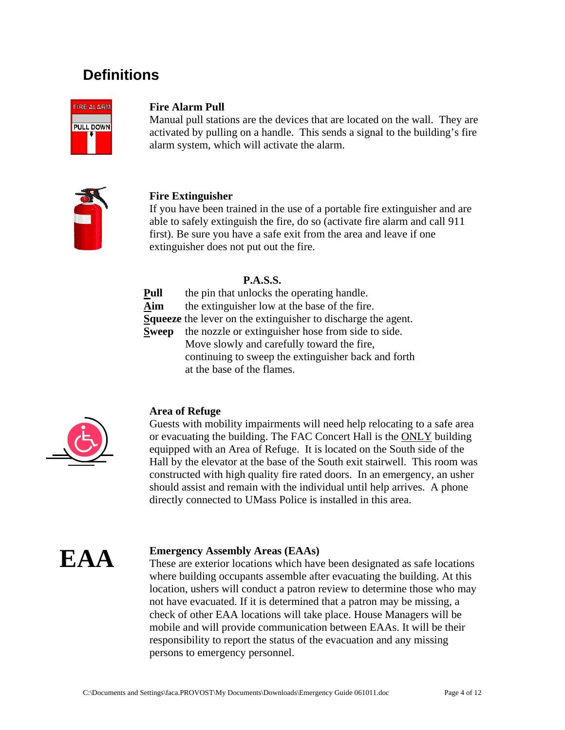### **Definitions**



#### **Fire Alarm Pull**

Manual pull stations are the devices that are located on the wall. They are activated by pulling on a handle. This sends a signal to the building's fire alarm system, which will activate the alarm.



#### **Fire Extinguisher**

If you have been trained in the use of a portable fire extinguisher and are able to safely extinguish the fire, do so (activate fire alarm and call 911 first). Be sure you have a safe exit from the area and leave if one extinguisher does not put out the fire.

#### **P.A.S.S.**

**Pull** the pin that unlocks the operating handle. Aim the extinguisher low at the base of the fire. **Squeeze** the lever on the extinguisher to discharge the agent. **Sweep** the nozzle or extinguisher hose from side to side. Move slowly and carefully toward the fire, continuing to sweep the extinguisher back and forth at the base of the flames.



#### **Area of Refuge**

Guests with mobility impairments will need help relocating to a safe area or evacuating the building. The FAC Concert Hall is the ONLY building equipped with an Area of Refuge. It is located on the South side of the Hall by the elevator at the base of the South exit stairwell. This room was constructed with high quality fire rated doors. In an emergency, an usher should assist and remain with the individual until help arrives. A phone directly connected to UMass Police is installed in this area.



**EAA** Emergency Assembly Areas (EAAs)<br>These are exterior locations which have been designated as safe locations where building occupants assemble after evacuating the building. At this location, ushers will conduct a patron review to determine those who may not have evacuated. If it is determined that a patron may be missing, a check of other EAA locations will take place. House Managers will be mobile and will provide communication between EAAs. It will be their responsibility to report the status of the evacuation and any missing persons to emergency personnel.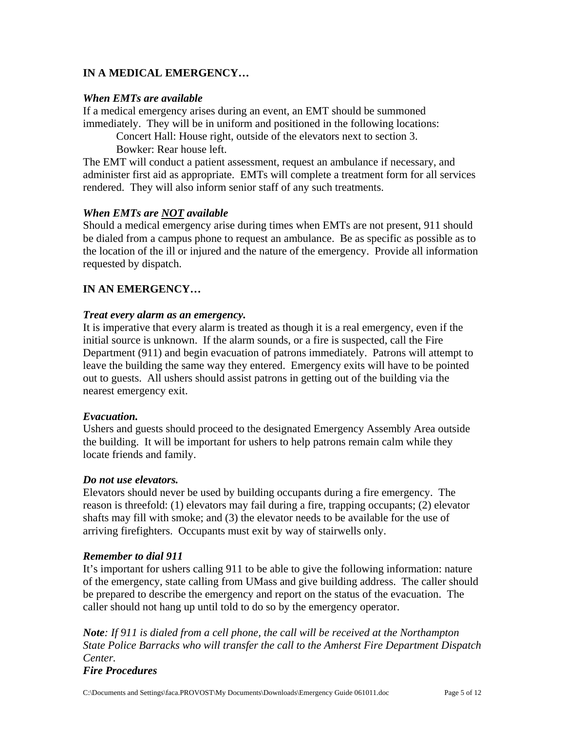#### **IN A MEDICAL EMERGENCY…**

#### *When EMTs are available*

If a medical emergency arises during an event, an EMT should be summoned immediately. They will be in uniform and positioned in the following locations:

Concert Hall: House right, outside of the elevators next to section 3. Bowker: Rear house left.

The EMT will conduct a patient assessment, request an ambulance if necessary, and administer first aid as appropriate. EMTs will complete a treatment form for all services rendered. They will also inform senior staff of any such treatments.

#### *When EMTs are NOT available*

Should a medical emergency arise during times when EMTs are not present, 911 should be dialed from a campus phone to request an ambulance. Be as specific as possible as to the location of the ill or injured and the nature of the emergency. Provide all information requested by dispatch.

#### **IN AN EMERGENCY…**

#### *Treat every alarm as an emergency.*

It is imperative that every alarm is treated as though it is a real emergency, even if the initial source is unknown. If the alarm sounds, or a fire is suspected, call the Fire Department (911) and begin evacuation of patrons immediately. Patrons will attempt to leave the building the same way they entered. Emergency exits will have to be pointed out to guests. All ushers should assist patrons in getting out of the building via the nearest emergency exit.

#### *Evacuation.*

Ushers and guests should proceed to the designated Emergency Assembly Area outside the building. It will be important for ushers to help patrons remain calm while they locate friends and family.

#### *Do not use elevators.*

Elevators should never be used by building occupants during a fire emergency. The reason is threefold: (1) elevators may fail during a fire, trapping occupants; (2) elevator shafts may fill with smoke; and (3) the elevator needs to be available for the use of arriving firefighters. Occupants must exit by way of stairwells only.

#### *Remember to dial 911*

It's important for ushers calling 911 to be able to give the following information: nature of the emergency, state calling from UMass and give building address. The caller should be prepared to describe the emergency and report on the status of the evacuation. The caller should not hang up until told to do so by the emergency operator.

*Note: If 911 is dialed from a cell phone, the call will be received at the Northampton State Police Barracks who will transfer the call to the Amherst Fire Department Dispatch Center.*

#### *Fire Procedures*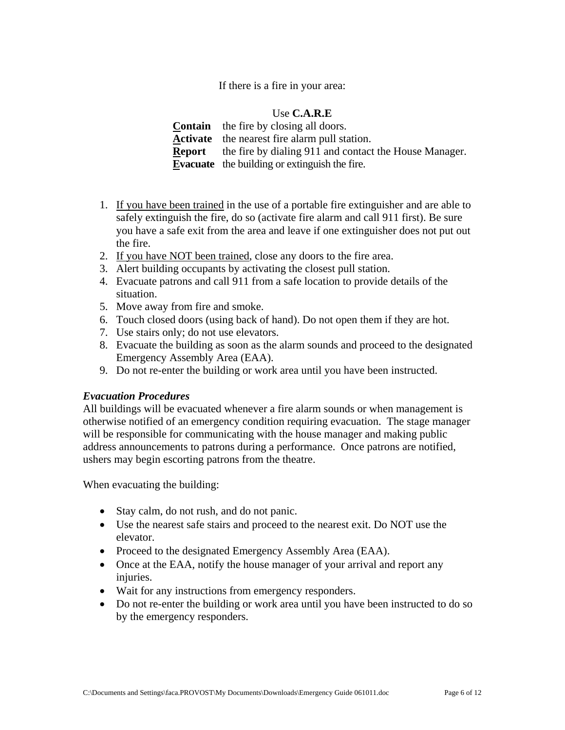If there is a fire in your area:

#### Use **C.A.R.E**

**Contain** the fire by closing all doors. **Activate** the nearest fire alarm pull station. **Report** the fire by dialing 911 and contact the House Manager. **Evacuate** the building or extinguish the fire.

- 1. If you have been trained in the use of a portable fire extinguisher and are able to safely extinguish the fire, do so (activate fire alarm and call 911 first). Be sure you have a safe exit from the area and leave if one extinguisher does not put out the fire.
- 2. If you have NOT been trained, close any doors to the fire area.
- 3. Alert building occupants by activating the closest pull station.
- 4. Evacuate patrons and call 911 from a safe location to provide details of the situation.
- 5. Move away from fire and smoke.
- 6. Touch closed doors (using back of hand). Do not open them if they are hot.
- 7. Use stairs only; do not use elevators.
- 8. Evacuate the building as soon as the alarm sounds and proceed to the designated Emergency Assembly Area (EAA).
- 9. Do not re-enter the building or work area until you have been instructed.

#### *Evacuation Procedures*

All buildings will be evacuated whenever a fire alarm sounds or when management is otherwise notified of an emergency condition requiring evacuation. The stage manager will be responsible for communicating with the house manager and making public address announcements to patrons during a performance. Once patrons are notified, ushers may begin escorting patrons from the theatre.

When evacuating the building:

- Stay calm, do not rush, and do not panic.
- Use the nearest safe stairs and proceed to the nearest exit. Do NOT use the elevator.
- Proceed to the designated Emergency Assembly Area (EAA).
- Once at the EAA, notify the house manager of your arrival and report any injuries.
- Wait for any instructions from emergency responders.
- Do not re-enter the building or work area until you have been instructed to do so by the emergency responders.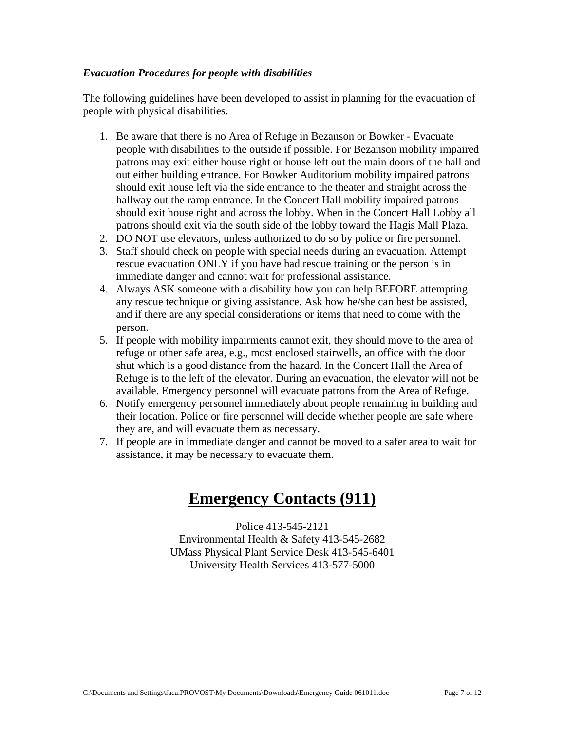#### *Evacuation Procedures for people with disabilities*

The following guidelines have been developed to assist in planning for the evacuation of people with physical disabilities.

- 1. Be aware that there is no Area of Refuge in Bezanson or Bowker Evacuate people with disabilities to the outside if possible. For Bezanson mobility impaired patrons may exit either house right or house left out the main doors of the hall and out either building entrance. For Bowker Auditorium mobility impaired patrons should exit house left via the side entrance to the theater and straight across the hallway out the ramp entrance. In the Concert Hall mobility impaired patrons should exit house right and across the lobby. When in the Concert Hall Lobby all patrons should exit via the south side of the lobby toward the Hagis Mall Plaza.
- 2. DO NOT use elevators, unless authorized to do so by police or fire personnel.
- 3. Staff should check on people with special needs during an evacuation. Attempt rescue evacuation ONLY if you have had rescue training or the person is in immediate danger and cannot wait for professional assistance.
- 4. Always ASK someone with a disability how you can help BEFORE attempting any rescue technique or giving assistance. Ask how he/she can best be assisted, and if there are any special considerations or items that need to come with the person.
- 5. If people with mobility impairments cannot exit, they should move to the area of refuge or other safe area, e.g., most enclosed stairwells, an office with the door shut which is a good distance from the hazard. In the Concert Hall the Area of Refuge is to the left of the elevator. During an evacuation, the elevator will not be available. Emergency personnel will evacuate patrons from the Area of Refuge.
- 6. Notify emergency personnel immediately about people remaining in building and their location. Police or fire personnel will decide whether people are safe where they are, and will evacuate them as necessary.
- 7. If people are in immediate danger and cannot be moved to a safer area to wait for assistance, it may be necessary to evacuate them.

### **Emergency Contacts (911)**

Police 413-545-2121 Environmental Health & Safety 413-545-2682 UMass Physical Plant Service Desk 413-545-6401 University Health Services 413-577-5000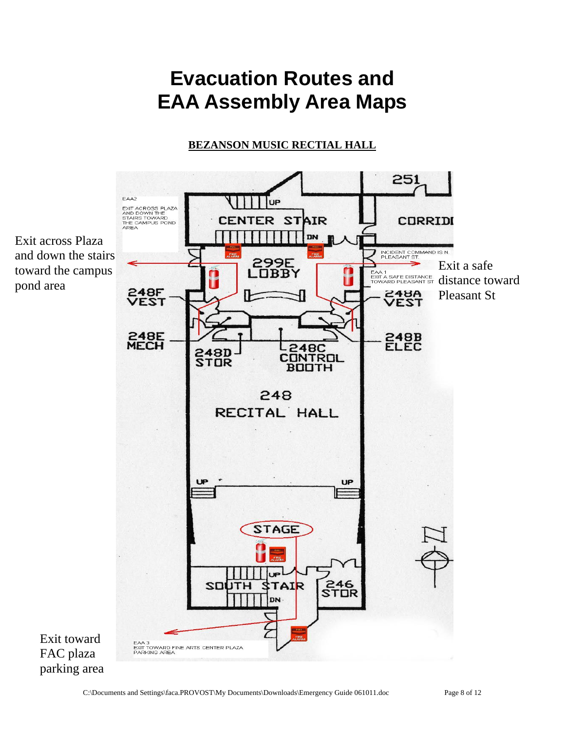## **Evacuation Routes and EAA Assembly Area Maps**

**BEZANSON MUSIC RECTIAL HALL**

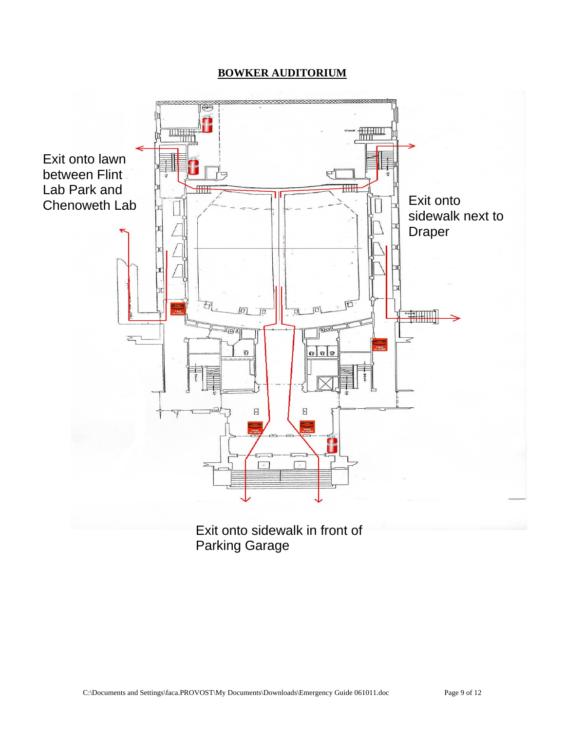#### **BOWKER AUDITORIUM**



Exit onto sidewalk in front of Parking Garage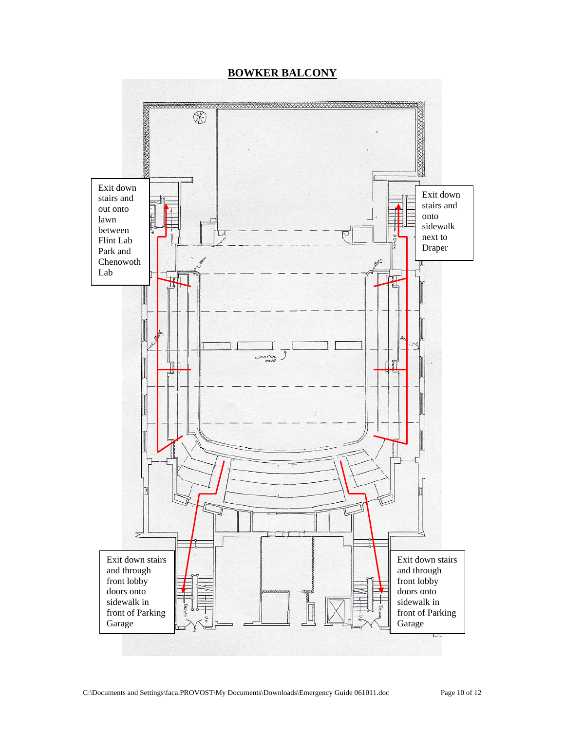### **BOWKER BALCONY**

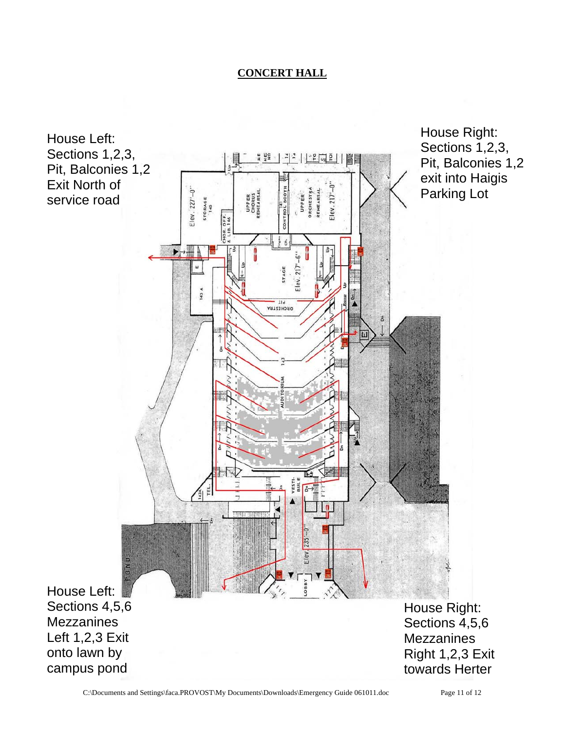### **CONCERT HALL**